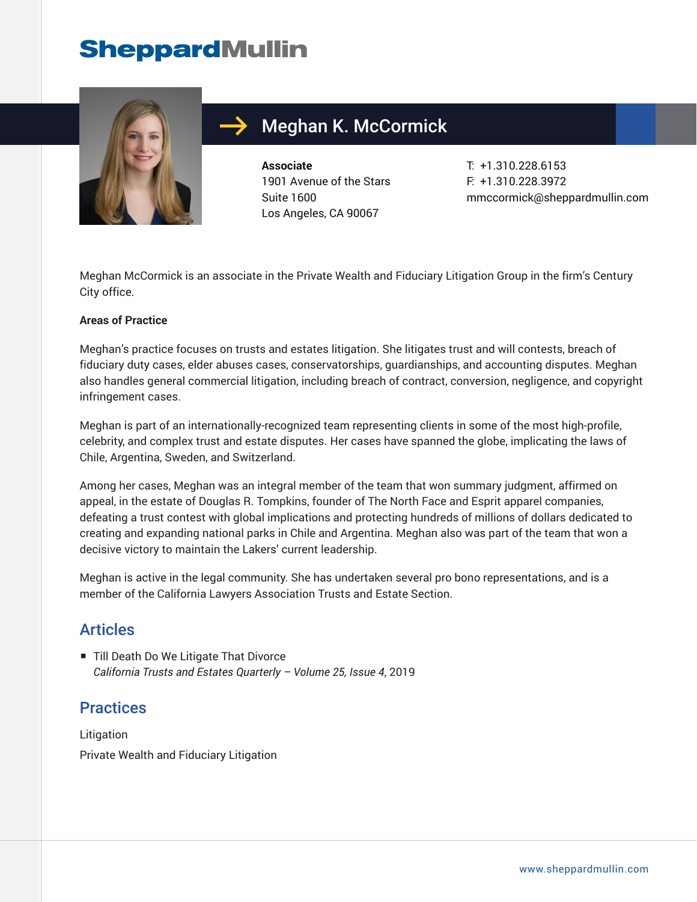# **SheppardMullin**



## Meghan K. McCormick

**Associate** 1901 Avenue of the Stars Suite 1600 Los Angeles, CA 90067

T: +1.310.228.6153 F: +1.310.228.3972 mmccormick@sheppardmullin.com

Meghan McCormick is an associate in the Private Wealth and Fiduciary Litigation Group in the firm's Century City office.

#### **Areas of Practice**

Meghan's practice focuses on trusts and estates litigation. She litigates trust and will contests, breach of fiduciary duty cases, elder abuses cases, conservatorships, guardianships, and accounting disputes. Meghan also handles general commercial litigation, including breach of contract, conversion, negligence, and copyright infringement cases.

Meghan is part of an internationally-recognized team representing clients in some of the most high-profile, celebrity, and complex trust and estate disputes. Her cases have spanned the globe, implicating the laws of Chile, Argentina, Sweden, and Switzerland.

Among her cases, Meghan was an integral member of the team that won summary judgment, affirmed on appeal, in the estate of Douglas R. Tompkins, founder of The North Face and Esprit apparel companies, defeating a trust contest with global implications and protecting hundreds of millions of dollars dedicated to creating and expanding national parks in Chile and Argentina. Meghan also was part of the team that won a decisive victory to maintain the Lakers' current leadership.

Meghan is active in the legal community. She has undertaken several pro bono representations, and is a member of the California Lawyers Association Trusts and Estate Section.

#### Articles

■ Till Death Do We Litigate That Divorce *California Trusts and Estates Quarterly – Volume 25, Issue 4*, 2019

#### **Practices**

**Litigation** Private Wealth and Fiduciary Litigation